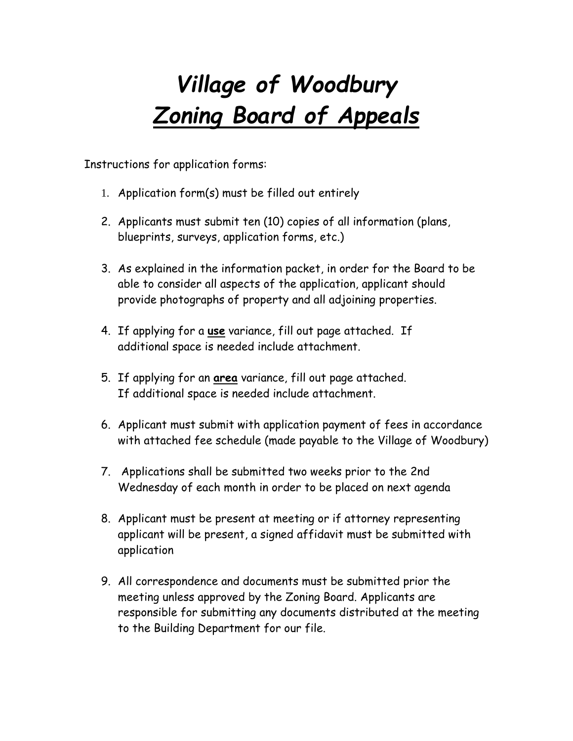# *Village of Woodbury Zoning Board of Appeals*

Instructions for application forms:

- 1. Application form(s) must be filled out entirely
- 2. Applicants must submit ten (10) copies of all information (plans, blueprints, surveys, application forms, etc.)
- 3. As explained in the information packet, in order for the Board to be able to consider all aspects of the application, applicant should provide photographs of property and all adjoining properties.
- 4. If applying for a **use** variance, fill out page attached. If additional space is needed include attachment.
- 5. If applying for an **area** variance, fill out page attached. If additional space is needed include attachment.
- 6. Applicant must submit with application payment of fees in accordance with attached fee schedule (made payable to the Village of Woodbury)
- 7. Applications shall be submitted two weeks prior to the 2nd Wednesday of each month in order to be placed on next agenda
- 8. Applicant must be present at meeting or if attorney representing applicant will be present, a signed affidavit must be submitted with application
- 9. All correspondence and documents must be submitted prior the meeting unless approved by the Zoning Board. Applicants are responsible for submitting any documents distributed at the meeting to the Building Department for our file.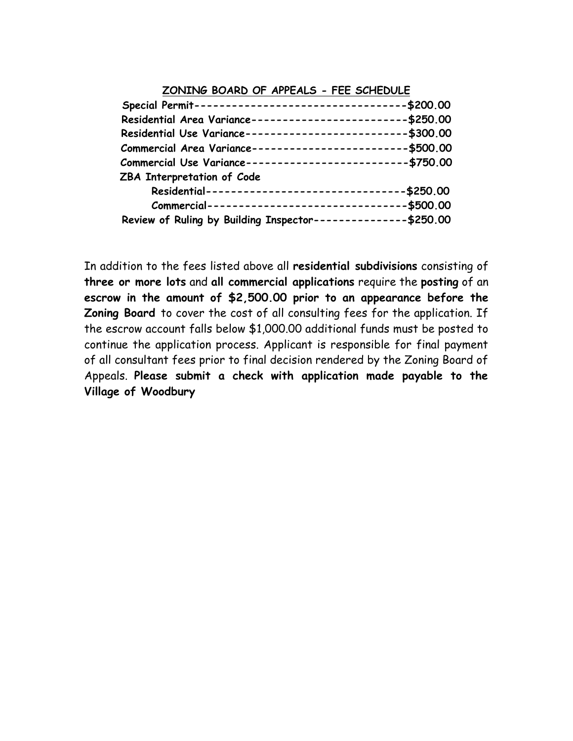### **ZONING BOARD OF APPEALS - FEE SCHEDULE**

| Special Permit----------------------------------\$200.00     |  |
|--------------------------------------------------------------|--|
| Residential Area Variance-------------------------\$250.00   |  |
| Residential Use Variance--------------------------\$300.00   |  |
| Commercial Area Variance-------------------------\$500.00    |  |
| Commercial Use Variance--------------------------- \$750.00  |  |
| ZBA Interpretation of Code                                   |  |
| Residential--------------------------------\$250.00          |  |
| Commercial---------------------------------\$500.00          |  |
| Review of Ruling by Building Inspector--------------\$250.00 |  |

In addition to the fees listed above all **residential subdivisions** consisting of **three or more lots** and **all commercial applications** require the **posting** of an **escrow in the amount of \$2,500.00 prior to an appearance before the Zoning Board** to cover the cost of all consulting fees for the application. If the escrow account falls below \$1,000.00 additional funds must be posted to continue the application process. Applicant is responsible for final payment of all consultant fees prior to final decision rendered by the Zoning Board of Appeals. **Please submit a check with application made payable to the Village of Woodbury**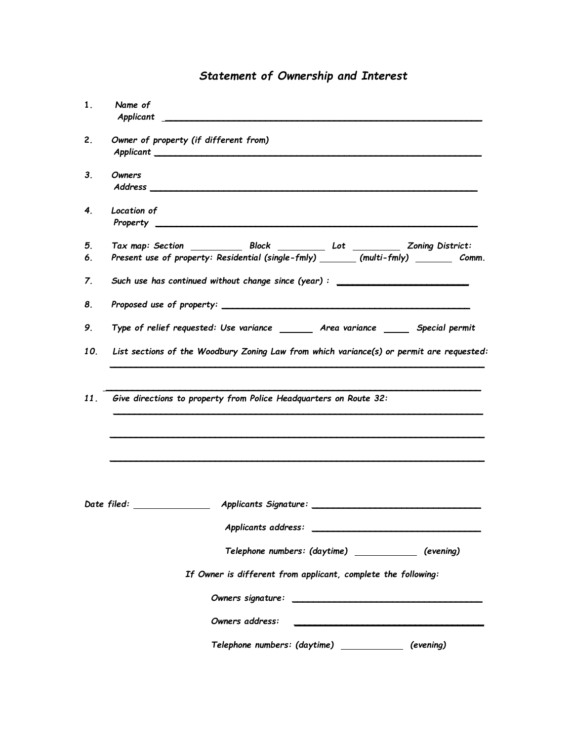### *Statement of Ownership and Interest*

| 1.  | Name of<br>Applicant                                                                     |
|-----|------------------------------------------------------------------------------------------|
| 2.  | Owner of property (if different from)                                                    |
| 3.  | Owners                                                                                   |
| 4.  | Location of                                                                              |
| 5.  |                                                                                          |
| 6.  | Present use of property: Residential (single-fmly) _______ (multi-fmly) ________ Comm.   |
| 7.  | Such use has continued without change since (year): ____________________________         |
| 8.  |                                                                                          |
| 9.  | Type of relief requested: Use variance ________ Area variance _______ Special permit     |
| 10. | List sections of the Woodbury Zoning Law from which variance(s) or permit are requested: |
| 11. | Give directions to property from Police Headquarters on Route 32:                        |
|     | Applicants address:                                                                      |
|     | Telephone numbers: (daytime) ___________<br>(evening)                                    |
|     | If Owner is different from applicant, complete the following:                            |
|     |                                                                                          |
|     | Owners address:                                                                          |
|     | Telephone numbers: (daytime)<br>(evening)                                                |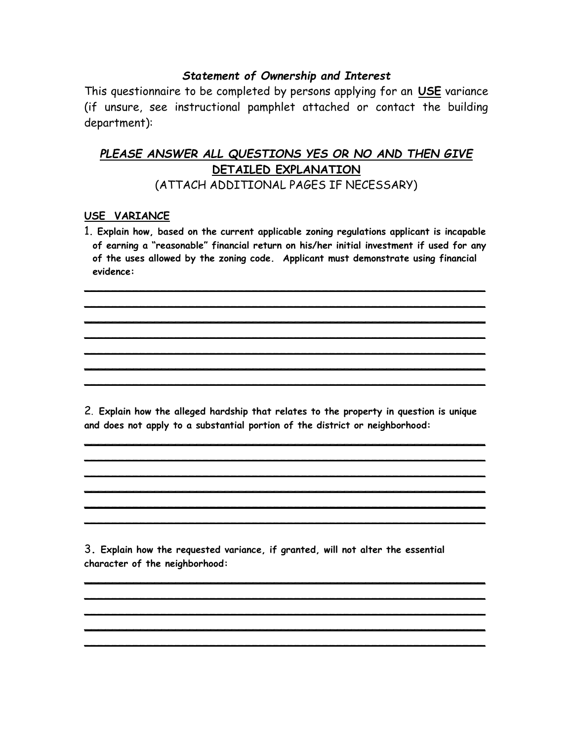### *Statement of Ownership and Interest*

This questionnaire to be completed by persons applying for an **USE** variance (if unsure, see instructional pamphlet attached or contact the building department):

## *PLEASE ANSWER ALL QUESTIONS YES OR NO AND THEN GIVE* **DETAILED EXPLANATION**

(ATTACH ADDITIONAL PAGES IF NECESSARY)

### **USE VARIANCE**

1**. Explain how, based on the current applicable zoning regulations applicant is incapable of earning a "reasonable" financial return on his/her initial investment if used for any of the uses allowed by the zoning code. Applicant must demonstrate using financial evidence:**

\_\_\_\_\_\_\_\_\_\_\_\_\_\_\_\_\_\_\_\_\_\_\_\_\_\_\_\_\_\_\_\_\_\_\_\_\_\_\_\_\_\_\_\_\_\_\_\_\_\_\_\_\_\_\_\_\_ \_\_\_\_\_\_\_\_\_\_\_\_\_\_\_\_\_\_\_\_\_\_\_\_\_\_\_\_\_\_\_\_\_\_\_\_\_\_\_\_\_\_\_\_\_\_\_\_\_\_\_\_\_\_\_\_\_

\_\_\_\_\_\_\_\_\_\_\_\_\_\_\_\_\_\_\_\_\_\_\_\_\_\_\_\_\_\_\_\_\_\_\_\_\_\_\_\_\_\_\_\_\_\_\_\_\_\_\_\_\_\_\_\_\_ \_\_\_\_\_\_\_\_\_\_\_\_\_\_\_\_\_\_\_\_\_\_\_\_\_\_\_\_\_\_\_\_\_\_\_\_\_\_\_\_\_\_\_\_\_\_\_\_\_\_\_\_\_\_\_\_\_ \_\_\_\_\_\_\_\_\_\_\_\_\_\_\_\_\_\_\_\_\_\_\_\_\_\_\_\_\_\_\_\_\_\_\_\_\_\_\_\_\_\_\_\_\_\_\_\_\_\_\_\_\_\_\_\_\_ \_\_\_\_\_\_\_\_\_\_\_\_\_\_\_\_\_\_\_\_\_\_\_\_\_\_\_\_\_\_\_\_\_\_\_\_\_\_\_\_\_\_\_\_\_\_\_\_\_\_\_\_\_\_\_\_\_

2. **Explain how the alleged hardship that relates to the property in question is unique and does not apply to a substantial portion of the district or neighborhood:**

\_\_\_\_\_\_\_\_\_\_\_\_\_\_\_\_\_\_\_\_\_\_\_\_\_\_\_\_\_\_\_\_\_\_\_\_\_\_\_\_\_\_\_\_\_\_\_\_\_\_\_\_\_\_\_\_\_ \_\_\_\_\_\_\_\_\_\_\_\_\_\_\_\_\_\_\_\_\_\_\_\_\_\_\_\_\_\_\_\_\_\_\_\_\_\_\_\_\_\_\_\_\_\_\_\_\_\_\_\_\_\_\_\_\_ \_\_\_\_\_\_\_\_\_\_\_\_\_\_\_\_\_\_\_\_\_\_\_\_\_\_\_\_\_\_\_\_\_\_\_\_\_\_\_\_\_\_\_\_\_\_\_\_\_\_\_\_\_\_\_\_\_ \_\_\_\_\_\_\_\_\_\_\_\_\_\_\_\_\_\_\_\_\_\_\_\_\_\_\_\_\_\_\_\_\_\_\_\_\_\_\_\_\_\_\_\_\_\_\_\_\_\_\_\_\_\_\_\_\_ \_\_\_\_\_\_\_\_\_\_\_\_\_\_\_\_\_\_\_\_\_\_\_\_\_\_\_\_\_\_\_\_\_\_\_\_\_\_\_\_\_\_\_\_\_\_\_\_\_\_\_\_\_\_\_\_\_ \_\_\_\_\_\_\_\_\_\_\_\_\_\_\_\_\_\_\_\_\_\_\_\_\_\_\_\_\_\_\_\_\_\_\_\_\_\_\_\_\_\_\_\_\_\_\_\_\_\_\_\_\_\_\_\_\_

3**. Explain how the requested variance, if granted, will not alter the essential character of the neighborhood:**

\_\_\_\_\_\_\_\_\_\_\_\_\_\_\_\_\_\_\_\_\_\_\_\_\_\_\_\_\_\_\_\_\_\_\_\_\_\_\_\_\_\_\_\_\_\_\_\_\_\_\_\_\_\_\_\_\_ \_\_\_\_\_\_\_\_\_\_\_\_\_\_\_\_\_\_\_\_\_\_\_\_\_\_\_\_\_\_\_\_\_\_\_\_\_\_\_\_\_\_\_\_\_\_\_\_\_\_\_\_\_\_\_\_\_ \_\_\_\_\_\_\_\_\_\_\_\_\_\_\_\_\_\_\_\_\_\_\_\_\_\_\_\_\_\_\_\_\_\_\_\_\_\_\_\_\_\_\_\_\_\_\_\_\_\_\_\_\_\_\_\_\_ \_\_\_\_\_\_\_\_\_\_\_\_\_\_\_\_\_\_\_\_\_\_\_\_\_\_\_\_\_\_\_\_\_\_\_\_\_\_\_\_\_\_\_\_\_\_\_\_\_\_\_\_\_\_\_\_\_ \_\_\_\_\_\_\_\_\_\_\_\_\_\_\_\_\_\_\_\_\_\_\_\_\_\_\_\_\_\_\_\_\_\_\_\_\_\_\_\_\_\_\_\_\_\_\_\_\_\_\_\_\_\_\_\_\_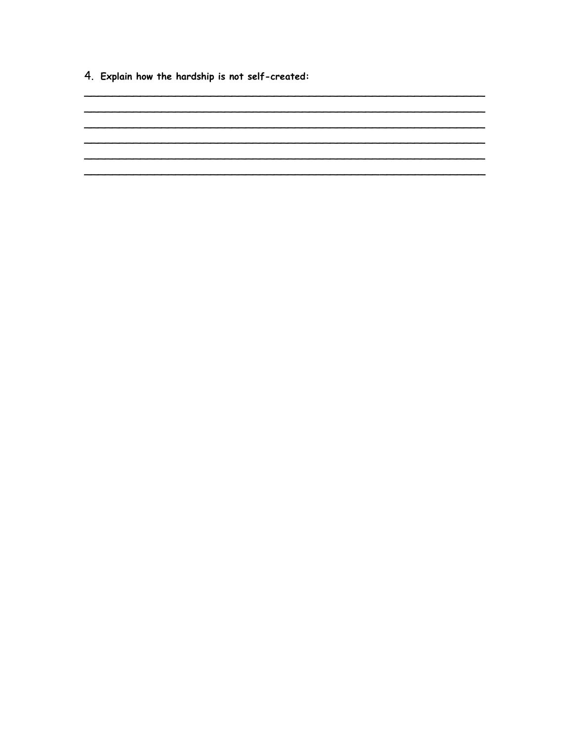4. Explain how the hardship is not self-created:

<u> 1980 - Johann Barbara, martin amerikan basar dan basa dan basar dalam basa dalam basa dalam basa dalam basa </u>